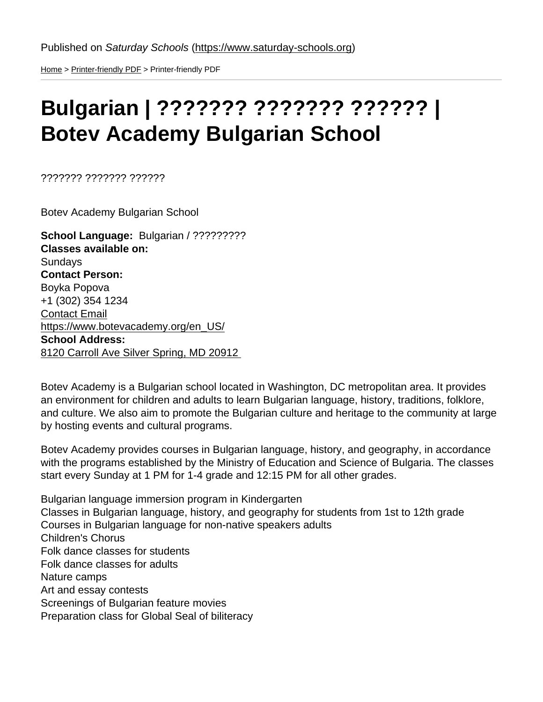[Home](https://www.saturday-schools.org/) > [Printer-friendly PDF](https://www.saturday-schools.org/printpdf) > Printer-friendly PDF

## Bulgarian | ??????? ??????? ?????? | Botev Academy Bulgarian School

??????? ??????? ??????

Botev Academy Bulgarian School

School Language: Bulgarian / ?????????? Classes available on: **Sundays** Contact Person: Boyka Popova +1 (302) 354 1234 [Contact Email](mailto:chairman@botevacademy.org) [https://www.botevacademy.org/en\\_US/](https://www.botevacademy.org/en_US/) School Address: [8120 Carroll Ave Silver Spring, MD 20912](https://www.google.com/maps/place/8120+Carroll+Ave,+Takoma+Park,+MD+20912/@38.9918764,-76.997186,17z/data=!3m1!4b1!4m5!3m4!1s0x89b7c61198fcf0ed:0x3c468f978303d706!8m2!3d38.9918764!4d-76.9949973) 

Botev Academy is a Bulgarian school located in Washington, DC metropolitan area. It provides an environment for children and adults to learn Bulgarian language, history, traditions, folklore, and culture. We also aim to promote the Bulgarian culture and heritage to the community at large by hosting events and cultural programs.

Botev Academy provides courses in Bulgarian language, history, and geography, in accordance with the programs established by the Ministry of Education and Science of Bulgaria. The classes start every Sunday at 1 PM for 1-4 grade and 12:15 PM for all other grades.

Bulgarian language immersion program in Kindergarten Classes in Bulgarian language, history, and geography for students from 1st to 12th grade Courses in Bulgarian language for non-native speakers adults Children's Chorus Folk dance classes for students Folk dance classes for adults Nature camps Art and essay contests Screenings of Bulgarian feature movies Preparation class for Global Seal of biliteracy